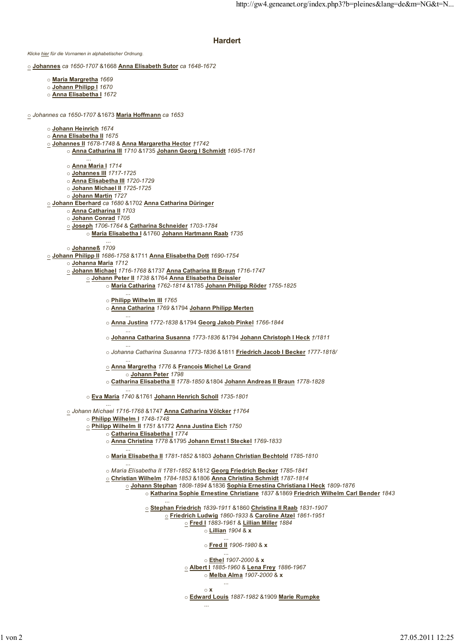## **Hardert**

*Klicke hier für die Vornamen in alphabetischer Ordnung.* o **Johannes** *ca 1650-1707* &1668 **Anna Elisabeth Sutor** *ca 1648-1672* o **Maria Margretha** *1669* o **Johann Philipp I** *1670* o **Anna Elisabetha I** *1672* o *Johannes ca 1650-1707* &1673 **Maria Hoffmann** *ca 1653* o **Johann Heinrich** *1674* o **Anna Elisabetha II** *1675* o **Johannes II** *1678-1748* & **Anna Margaretha Hector** *†1742* o **Anna Catharina III** *1710* &1735 **Johann Georg I Schmidt** *1695-1761* ... o **Anna Maria I** *1714* o **Johannes III** *1717-1725* o **Anna Elisabetha III** *1720-1729* o **Johann Michael II** *1725-1725* o **Johann Martin** *1727* o **Johann Eberhard** *ca 1680* &1702 **Anna Catharina Düringer** o **Anna Catharina II** *1703* o **Johann Conrad** *1705* o **Joseph** *1706-1764* & **Catharina Schneider** *1703-1784* o **Maria Elisabetha I** &1760 **Johann Hartmann Raab** *1735* ... o **Johanneß** *1709* o **Johann Philipp II** *1686-1758* &1711 **Anna Elisabetha Dott** *1690-1754* o **Johanna Maria** *1712* o **Johann Michael** *1716-1768* &1737 **Anna Catharina III Braun** *1716-1747* o **Johann Peter II** *1738* &1764 **Anna Elisabetha Deissler** o **Maria Catharina** *1762-1814* &1785 **Johann Philipp Röder** *1755-1825* ... o **Philipp Wilhelm III** *1765* o **Anna Catharina** *1769* &1794 **Johann Philipp Merten** ... o **Anna Justina** *1772-1838* &1794 **Georg Jakob Pinkel** *1766-1844* ... o **Johanna Catharina Susanna** *1773-1836* &1794 **Johann Christoph I Heck** *†/1811* ... o *Johanna Catharina Susanna 1773-1836* &1811 **Friedrich Jacob I Becker** *1777-1818/* ... o **Anna Margretha** *1776* & **Francois Michel Le Grand** o **Johann Peter** *1798* o **Catharina Elisabetha II** *1778-1850* &1804 **Johann Andreas II Braun** *1778-1828* ... o **Eva Maria** *1740* &1761 **Johann Henrich Scholl** *1735-1801* ... o *Johann Michael 1716-1768* &1747 **Anna Catharina Völcker** *†1764* o **Philipp Wilhelm I** *1748-1748* o **Philipp Wilhelm II** *1751* &1772 **Anna Justina Eich** *1750* o **Catharina Elisabetha I** *1774* o **Anna Christina** *1778* &1795 **Johann Ernst I Steckel** *1769-1833* ... o **Maria Elisabetha II** *1781-1852* &1803 **Johann Christian Bechtold** *1785-1810* ... o *Maria Elisabetha II 1781-1852* &1812 **Georg Friedrich Becker** *1785-1841* o **Christian Wilhelm** *1784-1853* &1806 **Anna Christina Schmidt** *1787-1814* o **Johann Stephan** *1808-1894* &1836 **Sophia Ernestina Christiana I Heck** *1809-1876* o **Katharina Sophie Ernestine Christiane** *1837* &1869 **Friedrich Wilhelm Carl Bender** *1843* ... o **Stephan Friedrich** *1839-1911* &1860 **Christina II Raab** *1831-1907* o **Friedrich Ludwig** *1860-1933* & **Caroline Atzel** *1861-1951* o **Fred I** *1883-1961* & **Lillian Miller** *1884* o **Lillian** *1904* & **x** ... o **Fred II** *1906-1980* & **x** ... o **Ethel** *1907-2000* & **x** o **Albert I** *1885-1960* & **Lena Frey** *1886-1967* o **Melba Alma** *1907-2000* & **x** ... o **x** o **Edward Louis** *1887-1982* &1909 **Marie Rumpke** ...